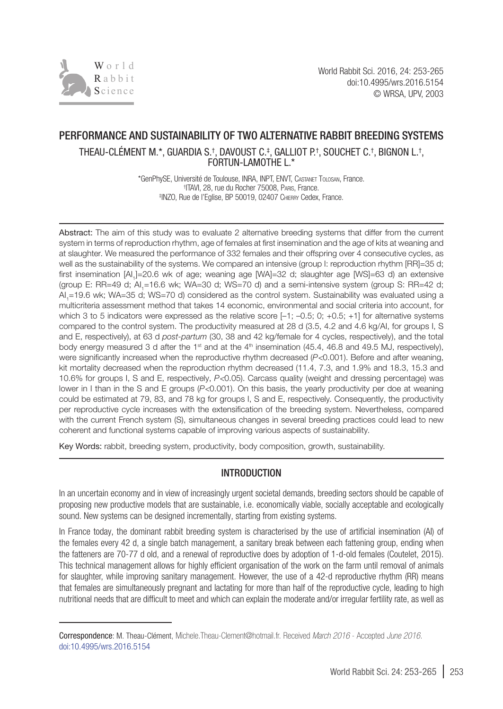

# PERFORMANCE AND SUSTAINABILITY OF TWO ALTERNATIVE RABBIT BREEDING SYSTEMS

THEAU-CLEMENT M.\*, GUARDIA S.†, DAVOUST C.‡, GALLIOT P.†, SOUCHET C.†, BIGNON L.†, FORTUN-LAMOTHE L.\*

> \*GenPhySE, Université de Toulouse, INRA, INPT, ENVT, Castanet Tolosan, France. † ITAVI, 28, rue du Rocher 75008, Paris, France. ‡ INZO, Rue de l'Eglise, BP 50019, 02407 Chierry Cedex, France.

Abstract: The aim of this study was to evaluate 2 alternative breeding systems that differ from the current system in terms of reproduction rhythm, age of females at first insemination and the age of kits at weaning and at slaughter. We measured the performance of 332 females and their offspring over 4 consecutive cycles, as well as the sustainability of the systems. We compared an intensive (group I: reproduction rhythm [RR]=35 d; first insemination [AI<sub>1</sub>]=20.6 wk of age; weaning age [WA]=32 d; slaughter age [WS]=63 d) an extensive (group E: RR=49 d; Al<sub>1</sub>=16.6 wk; WA=30 d; WS=70 d) and a semi-intensive system (group S: RR=42 d; AI<sub>1</sub>=19.6 wk; WA=35 d; WS=70 d) considered as the control system. Sustainability was evaluated using a multicriteria assessment method that takes 14 economic, environmental and social criteria into account, for which 3 to 5 indicators were expressed as the relative score  $[-1; -0.5; 0; +0.5; +1]$  for alternative systems compared to the control system. The productivity measured at 28 d (3.5, 4.2 and 4.6 kg/AI, for groups I, S and E, respectively), at 63 d *post-partum* (30, 38 and 42 kg/female for 4 cycles, respectively), and the total body energy measured 3 d after the 1<sup>st</sup> and at the 4<sup>th</sup> insemination (45.4, 46.8 and 49.5 MJ, respectively), were significantly increased when the reproductive rhythm decreased (*P<*0.001). Before and after weaning, kit mortality decreased when the reproduction rhythm decreased (11.4, 7.3, and 1.9% and 18.3, 15.3 and 10.6% for groups I, S and E, respectively, *P<*0.05). Carcass quality (weight and dressing percentage) was lower in I than in the S and E groups (*P<*0.001). On this basis, the yearly productivity per doe at weaning could be estimated at 79, 83, and 78 kg for groups I, S and E, respectively. Consequently, the productivity per reproductive cycle increases with the extensification of the breeding system. Nevertheless, compared with the current French system (S), simultaneous changes in several breeding practices could lead to new coherent and functional systems capable of improving various aspects of sustainability.

Key Words: rabbit, breeding system, productivity, body composition, growth, sustainability*.*

### INTRODUCTION

In an uncertain economy and in view of increasingly urgent societal demands, breeding sectors should be capable of proposing new productive models that are sustainable, i.e. economically viable, socially acceptable and ecologically sound. New systems can be designed incrementally, starting from existing systems.

In France today, the dominant rabbit breeding system is characterised by the use of artificial insemination (AI) of the females every 42 d, a single batch management, a sanitary break between each fattening group, ending when the fatteners are 70-77 d old, and a renewal of reproductive does by adoption of 1-d-old females (Coutelet, 2015). This technical management allows for highly efficient organisation of the work on the farm until removal of animals for slaughter, while improving sanitary management. However, the use of a 42-d reproductive rhythm (RR) means that females are simultaneously pregnant and lactating for more than half of the reproductive cycle, leading to high nutritional needs that are difficult to meet and which can explain the moderate and/or irregular fertility rate, as well as

Correspondence: M. Theau-Clément, Michele.Theau-Clement@hotmail.fr. Received *March 2016* - Accepted *June 2016.* [doi:10.4995/wrs.2016.5154](http://dx.doi.org/10.4995/wrs.2016.5154)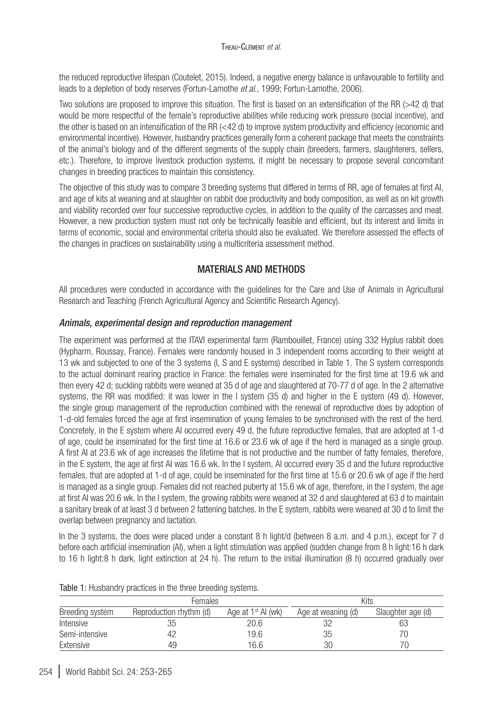the reduced reproductive lifespan (Coutelet, 2015). Indeed, a negative energy balance is unfavourable to fertility and leads to a depletion of body reserves (Fortun-Lamothe *et al.,* 1999; Fortun-Lamothe, 2006).

Two solutions are proposed to improve this situation. The first is based on an extensification of the RR (>42 d) that would be more respectful of the female's reproductive abilities while reducing work pressure (social incentive), and the other is based on an intensification of the RR (<42 d) to improve system productivity and efficiency (economic and environmental incentive). However, husbandry practices generally form a coherent package that meets the constraints of the animal's biology and of the different segments of the supply chain (breeders, farmers, slaughterers, sellers, etc.). Therefore, to improve livestock production systems, it might be necessary to propose several concomitant changes in breeding practices to maintain this consistency.

The objective of this study was to compare 3 breeding systems that differed in terms of RR, age of females at first AI, and age of kits at weaning and at slaughter on rabbit doe productivity and body composition, as well as on kit growth and viability recorded over four successive reproductive cycles, in addition to the quality of the carcasses and meat. However, a new production system must not only be technically feasible and efficient, but its interest and limits in terms of economic, social and environmental criteria should also be evaluated. We therefore assessed the effects of the changes in practices on sustainability using a multicriteria assessment method.

### MATERIALS AND METHODS

All procedures were conducted in accordance with the guidelines for the Care and Use of Animals in Agricultural Research and Teaching (French Agricultural Agency and Scientific Research Agency).

### *Animals, experimental design and reproduction management*

The experiment was performed at the ITAVI experimental farm (Rambouillet, France) using 332 Hyplus rabbit does (Hypharm, Roussay, France). Females were randomly housed in 3 independent rooms according to their weight at 13 wk and subjected to one of the 3 systems (I, S and E systems) described in [Table 1.](#page-1-0) The S system corresponds to the actual dominant rearing practice in France: the females were inseminated for the first time at 19.6 wk and then every 42 d; suckling rabbits were weaned at 35 d of age and slaughtered at 70-77 d of age. In the 2 alternative systems, the RR was modified: it was lower in the I system (35 d) and higher in the E system (49 d). However, the single group management of the reproduction combined with the renewal of reproductive does by adoption of 1-d-old females forced the age at first insemination of young females to be synchronised with the rest of the herd. Concretely, in the E system where AI occurred every 49 d, the future reproductive females, that are adopted at 1-d of age, could be inseminated for the first time at 16.6 or 23.6 wk of age if the herd is managed as a single group. A first AI at 23.6 wk of age increases the lifetime that is not productive and the number of fatty females, therefore, in the E system, the age at first AI was 16.6 wk. In the I system, AI occurred every 35 d and the future reproductive females, that are adopted at 1-d of age, could be inseminated for the first time at 15.6 or 20.6 wk of age if the herd is managed as a single group. Females did not reached puberty at 15.6 wk of age, therefore, in the I system, the age at first AI was 20.6 wk. In the I system, the growing rabbits were weaned at 32 d and slaughtered at 63 d to maintain a sanitary break of at least 3 d between 2 fattening batches. In the E system, rabbits were weaned at 30 d to limit the overlap between pregnancy and lactation.

In the 3 systems, the does were placed under a constant 8 h light/d (between 8 a.m. and 4 p.m.), except for 7 d before each artificial insemination (AI), when a light stimulation was applied (sudden change from 8 h light:16 h dark to 16 h light:8 h dark, light extinction at 24 h). The return to the initial illumination (8 h) occurred gradually over

|                 | Females                 |                      | Kits               |                   |
|-----------------|-------------------------|----------------------|--------------------|-------------------|
| Breeding system | Reproduction rhythm (d) | Age at $1st$ AI (wk) | Age at weaning (d) | Slaughter age (d) |
| Intensive       | 35                      | 20.6                 | 32                 | 63                |
| Semi-intensive  | 42                      | 19.6                 | 35                 |                   |
| Extensive       | 49                      | 16.6                 | 30                 |                   |

<span id="page-1-0"></span>Table 1: Husbandry practices in the three breeding systems.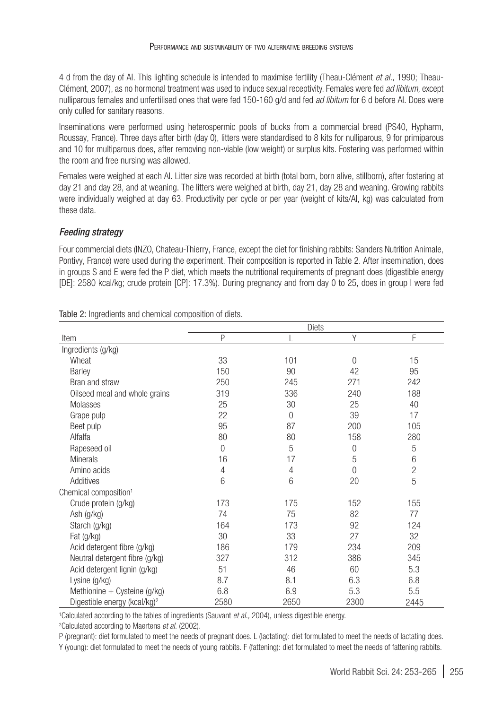4 d from the day of AI. This lighting schedule is intended to maximise fertility (Theau-Clément *et al.,* 1990; Theau-Clément, 2007), as no hormonal treatment was used to induce sexual receptivity. Females were fed *ad libitum,* except nulliparous females and unfertilised ones that were fed 150-160 g/d and fed *ad libitum* for 6 d before AI. Does were only culled for sanitary reasons.

Inseminations were performed using heterospermic pools of bucks from a commercial breed (PS40, Hypharm, Roussay, France). Three days after birth (day 0), litters were standardised to 8 kits for nulliparous, 9 for primiparous and 10 for multiparous does, after removing non-viable (low weight) or surplus kits. Fostering was performed within the room and free nursing was allowed.

Females were weighed at each AI. Litter size was recorded at birth (total born, born alive, stillborn), after fostering at day 21 and day 28, and at weaning. The litters were weighed at birth, day 21, day 28 and weaning. Growing rabbits were individually weighed at day 63. Productivity per cycle or per year (weight of kits/AI, kg) was calculated from these data.

### *Feeding strategy*

Four commercial diets (INZO, Chateau-Thierry, France, except the diet for finishing rabbits: Sanders Nutrition Animale, Pontivy, France) were used during the experiment. Their composition is reported in [Table 2.](#page-2-0) After insemination, does in groups S and E were fed the P diet, which meets the nutritional requirements of pregnant does (digestible energy [DE]: 2580 kcal/kg; crude protein [CP]: 17.3%). During pregnancy and from day 0 to 25, does in group I were fed

|                                          | Diets    |      |                |                |  |  |  |
|------------------------------------------|----------|------|----------------|----------------|--|--|--|
| Item                                     | P        |      | Υ              | F              |  |  |  |
| Ingredients (g/kg)                       |          |      |                |                |  |  |  |
| Wheat                                    | 33       | 101  | $\Omega$       | 15             |  |  |  |
| Barley                                   | 150      | 90   | 42             | 95             |  |  |  |
| Bran and straw                           | 250      | 245  | 271            | 242            |  |  |  |
| Oilseed meal and whole grains            | 319      | 336  | 240            | 188            |  |  |  |
| Molasses                                 | 25       | 30   | 25             | 40             |  |  |  |
| Grape pulp                               | 22       | 0    | 39             | 17             |  |  |  |
| Beet pulp                                | 95       | 87   | 200            | 105            |  |  |  |
| Alfalfa                                  | 80       | 80   | 158            | 280            |  |  |  |
| Rapeseed oil                             | $\Omega$ | 5    | $\overline{0}$ | 5              |  |  |  |
| <b>Minerals</b>                          | 16       | 17   | 5              | 6              |  |  |  |
| Amino acids                              | 4        | 4    | $\Omega$       | $\overline{c}$ |  |  |  |
| Additives                                | 6        | 6    | 20             | 5              |  |  |  |
| Chemical composition <sup>1</sup>        |          |      |                |                |  |  |  |
| Crude protein (g/kg)                     | 173      | 175  | 152            | 155            |  |  |  |
| Ash (g/kg)                               | 74       | 75   | 82             | 77             |  |  |  |
| Starch (g/kg)                            | 164      | 173  | 92             | 124            |  |  |  |
| Fat (g/kg)                               | 30       | 33   | 27             | 32             |  |  |  |
| Acid detergent fibre (g/kg)              | 186      | 179  | 234            | 209            |  |  |  |
| Neutral detergent fibre (g/kg)           | 327      | 312  | 386            | 345            |  |  |  |
| Acid detergent lignin (g/kg)             | 51       | 46   | 60             | 5.3            |  |  |  |
| Lysine (g/kg)                            | 8.7      | 8.1  | 6.3            | 6.8            |  |  |  |
| Methionine + Cysteine $(g/kg)$           | 6.8      | 6.9  | 5.3            | 5.5            |  |  |  |
| Digestible energy (kcal/kg) <sup>2</sup> | 2580     | 2650 | 2300           | 2445           |  |  |  |

<span id="page-2-0"></span>Table 2: Ingredients and chemical composition of diets*.*

1 Calculated according to the tables of ingredients (Sauvant *et al.,* 2004), unless digestible energy.

2 Calculated according to Maertens *et al.* (2002).

P (pregnant): diet formulated to meet the needs of pregnant does. L (lactating): diet formulated to meet the needs of lactating does.

Y (young): diet formulated to meet the needs of young rabbits. F (fattening): diet formulated to meet the needs of fattening rabbits.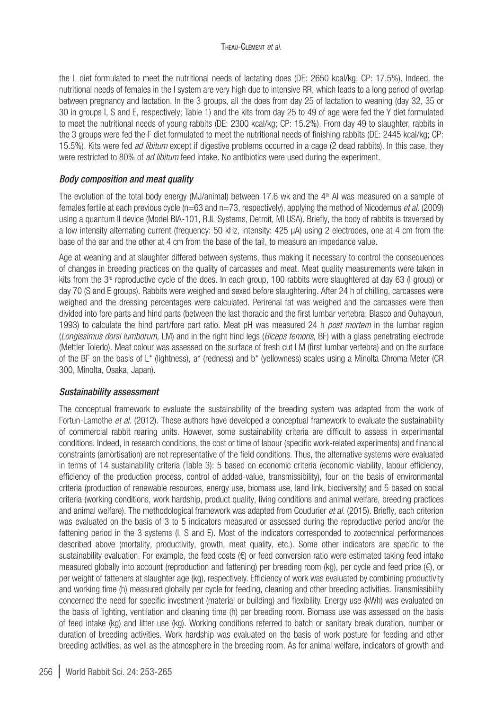the L diet formulated to meet the nutritional needs of lactating does (DE: 2650 kcal/kg; CP: 17.5%). Indeed, the nutritional needs of females in the I system are very high due to intensive RR, which leads to a long period of overlap between pregnancy and lactation. In the 3 groups, all the does from day 25 of lactation to weaning (day 32, 35 or 30 in groups I, S and E, respectively; [Table 1](#page-1-0)) and the kits from day 25 to 49 of age were fed the Y diet formulated to meet the nutritional needs of young rabbits (DE: 2300 kcal/kg; CP: 15.2%). From day 49 to slaughter, rabbits in the 3 groups were fed the F diet formulated to meet the nutritional needs of finishing rabbits (DE: 2445 kcal/kg; CP: 15.5%). Kits were fed *ad libitum* except if digestive problems occurred in a cage (2 dead rabbits). In this case, they were restricted to 80% of *ad libitum* feed intake. No antibiotics were used during the experiment.

### *Body composition and meat quality*

The evolution of the total body energy (MJ/animal) between 17.6 wk and the 4<sup>th</sup> AI was measured on a sample of females fertile at each previous cycle (n=63 and n=73, respectively), applying the method of Nicodemus *et al.* (2009) using a quantum II device (Model BIA-101, RJL Systems, Detroit, MI USA). Briefly, the body of rabbits is traversed by a low intensity alternating current (frequency: 50 kHz, intensity: 425 µA) using 2 electrodes, one at 4 cm from the base of the ear and the other at 4 cm from the base of the tail, to measure an impedance value.

Age at weaning and at slaughter differed between systems, thus making it necessary to control the consequences of changes in breeding practices on the quality of carcasses and meat. Meat quality measurements were taken in kits from the 3<sup>rd</sup> reproductive cycle of the does. In each group, 100 rabbits were slaughtered at day 63 (I group) or day 70 (S and E groups). Rabbits were weighed and sexed before slaughtering. After 24 h of chilling, carcasses were weighed and the dressing percentages were calculated. Perirenal fat was weighed and the carcasses were then divided into fore parts and hind parts (between the last thoracic and the first lumbar vertebra; Blasco and Ouhayoun, 1993) to calculate the hind part/fore part ratio. Meat pH was measured 24 h *post mortem* in the lumbar region (*Longissimus dorsi lumborum,* LM) and in the right hind legs (*Biceps femoris*, BF) with a glass penetrating electrode (Mettler Toledo). Meat colour was assessed on the surface of fresh cut LM (first lumbar vertebra) and on the surface of the BF on the basis of L\* (lightness), a\* (redness) and b\* (yellowness) scales using a Minolta Chroma Meter (CR 300, Minolta, Osaka, Japan).

### *Sustainability assessment*

The conceptual framework to evaluate the sustainability of the breeding system was adapted from the work of Fortun-Lamothe *et al.* (2012). These authors have developed a conceptual framework to evaluate the sustainability of commercial rabbit rearing units. However, some sustainability criteria are difficult to assess in experimental conditions. Indeed, in research conditions, the cost or time of labour (specific work-related experiments) and financial constraints (amortisation) are not representative of the field conditions. Thus, the alternative systems were evaluated in terms of 14 sustainability criteria [\(Table 3](#page-4-0)): 5 based on economic criteria (economic viability, labour efficiency, efficiency of the production process, control of added-value, transmissibility), four on the basis of environmental criteria (production of renewable resources, energy use, biomass use, land link, biodiversity) and 5 based on social criteria (working conditions, work hardship, product quality, living conditions and animal welfare, breeding practices and animal welfare). The methodological framework was adapted from Coudurier *et al.* (2015). Briefly, each criterion was evaluated on the basis of 3 to 5 indicators measured or assessed during the reproductive period and/or the fattening period in the 3 systems (I, S and E). Most of the indicators corresponded to zootechnical performances described above (mortality, productivity, growth, meat quality, etc.). Some other indicators are specific to the sustainability evaluation. For example, the feed costs  $(E)$  or feed conversion ratio were estimated taking feed intake measured globally into account (reproduction and fattening) per breeding room (kg), per cycle and feed price (€), or per weight of fatteners at slaughter age (kg), respectively. Efficiency of work was evaluated by combining productivity and working time (h) measured globally per cycle for feeding, cleaning and other breeding activities. Transmissibility concerned the need for specific investment (material or building) and flexibility. Energy use (kWh) was evaluated on the basis of lighting, ventilation and cleaning time (h) per breeding room. Biomass use was assessed on the basis of feed intake (kg) and litter use (kg). Working conditions referred to batch or sanitary break duration, number or duration of breeding activities. Work hardship was evaluated on the basis of work posture for feeding and other breeding activities, as well as the atmosphere in the breeding room. As for animal welfare, indicators of growth and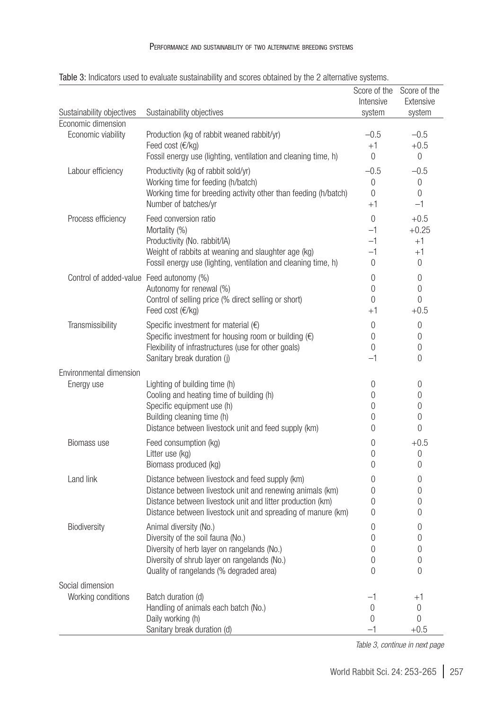|                                                 |                                                                                                                       |                       | Score of the Score of the |
|-------------------------------------------------|-----------------------------------------------------------------------------------------------------------------------|-----------------------|---------------------------|
|                                                 |                                                                                                                       | Intensive             | Extensive                 |
| Sustainability objectives<br>Economic dimension | Sustainability objectives                                                                                             | system                | system                    |
| Economic viability                              | Production (kg of rabbit weaned rabbit/yr)                                                                            | $-0.5$                | $-0.5$                    |
|                                                 | Feed cost (€/kg)                                                                                                      | $+1$                  | $+0.5$                    |
|                                                 | Fossil energy use (lighting, ventilation and cleaning time, h)                                                        | $\Omega$              | $\Omega$                  |
| Labour efficiency                               | Productivity (kg of rabbit sold/yr)                                                                                   | $-0.5$                | $-0.5$                    |
|                                                 | Working time for feeding (h/batch)                                                                                    | 0                     | $\mathbf 0$               |
|                                                 | Working time for breeding activity other than feeding (h/batch)                                                       | 0                     | $\theta$                  |
|                                                 | Number of batches/yr                                                                                                  | $+1$                  | $-1$                      |
| Process efficiency                              | Feed conversion ratio                                                                                                 | $\Omega$              | $+0.5$                    |
|                                                 | Mortality (%)                                                                                                         | $-1$                  | $+0.25$                   |
|                                                 | Productivity (No. rabbit/IA)                                                                                          | $-1$                  | $+1$                      |
|                                                 | Weight of rabbits at weaning and slaughter age (kg)                                                                   | $-1$                  | $+1$                      |
|                                                 | Fossil energy use (lighting, ventilation and cleaning time, h)                                                        | 0                     | 0                         |
| Control of added-value Feed autonomy (%)        |                                                                                                                       | 0                     | $\mathbf 0$               |
|                                                 | Autonomy for renewal (%)                                                                                              | 0                     | $\mathbf 0$               |
|                                                 | Control of selling price (% direct selling or short)                                                                  | $\Omega$              | 0                         |
|                                                 | Feed cost (€/kg)                                                                                                      | $+1$                  | $+0.5$                    |
| Transmissibility                                | Specific investment for material $(\epsilon)$                                                                         | 0                     | $\mathbf 0$               |
|                                                 | Specific investment for housing room or building $(\epsilon)$<br>Flexibility of infrastructures (use for other goals) | 0<br>0                | 0<br>$\mathbf 0$          |
|                                                 | Sanitary break duration (j)                                                                                           | $-1$                  | 0                         |
| Environmental dimension                         |                                                                                                                       |                       |                           |
| Energy use                                      | Lighting of building time (h)                                                                                         | 0                     | 0                         |
|                                                 | Cooling and heating time of building (h)                                                                              | 0                     | 0                         |
|                                                 | Specific equipment use (h)                                                                                            | 0                     | 0                         |
|                                                 | Building cleaning time (h)                                                                                            | 0                     | 0                         |
|                                                 | Distance between livestock unit and feed supply (km)                                                                  | 0                     | 0                         |
| Biomass use                                     | Feed consumption (kg)                                                                                                 | 0                     | $+0.5$                    |
|                                                 | Litter use (kg)                                                                                                       | 0                     | 0                         |
|                                                 | Biomass produced (kg)                                                                                                 | 0                     | 0                         |
| Land link                                       | Distance between livestock and feed supply (km)                                                                       | 0                     | 0                         |
|                                                 | Distance between livestock unit and renewing animals (km)                                                             | 0                     | 0                         |
|                                                 | Distance between livestock unit and litter production (km)                                                            | 0                     | 0                         |
|                                                 | Distance between livestock unit and spreading of manure (km)                                                          | 0                     | 0                         |
| Biodiversity                                    | Animal diversity (No.)                                                                                                | 0                     | 0                         |
|                                                 | Diversity of the soil fauna (No.)                                                                                     | 0                     | 0                         |
|                                                 | Diversity of herb layer on rangelands (No.)<br>Diversity of shrub layer on rangelands (No.)                           | 0<br>$\boldsymbol{0}$ | 0<br>$\boldsymbol{0}$     |
|                                                 | Quality of rangelands (% degraded area)                                                                               | 0                     | 0                         |
| Social dimension                                |                                                                                                                       |                       |                           |
| Working conditions                              | Batch duration (d)                                                                                                    | $-1$                  | $+1$                      |
|                                                 | Handling of animals each batch (No.)                                                                                  | $\mathbf 0$           | 0                         |
|                                                 | Daily working (h)                                                                                                     | 0                     | 0                         |
|                                                 | Sanitary break duration (d)                                                                                           | $-1$                  | $+0.5$                    |

<span id="page-4-0"></span>Table 3: Indicators used to evaluate sustainability and scores obtained by the 2 alternative systems.

*Table 3, continue in next page*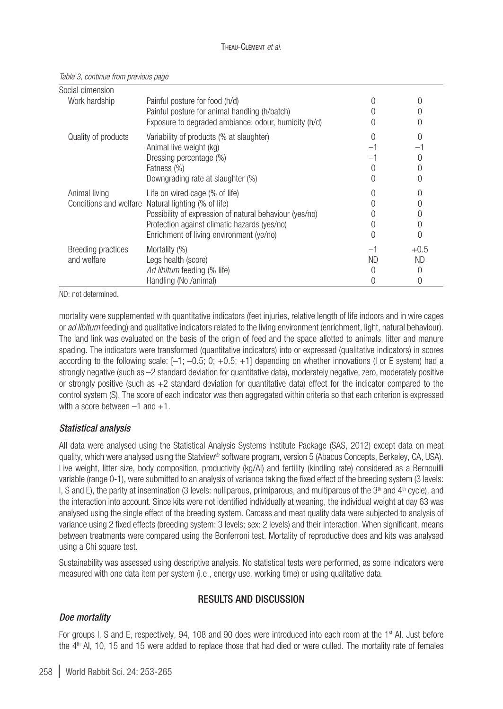| Social dimension                  |                                                                                                                                                                                                                                              |           |              |
|-----------------------------------|----------------------------------------------------------------------------------------------------------------------------------------------------------------------------------------------------------------------------------------------|-----------|--------------|
| Work hardship                     | Painful posture for food (h/d)<br>Painful posture for animal handling (h/batch)<br>Exposure to degraded ambiance: odour, humidity (h/d)                                                                                                      |           |              |
| Quality of products               | Variability of products (% at slaughter)<br>Animal live weight (kg)<br>Dressing percentage (%)<br>Fatness (%)<br>Downgrading rate at slaughter (%)                                                                                           |           |              |
| Animal living                     | Life on wired cage (% of life)<br>Conditions and welfare Natural lighting (% of life)<br>Possibility of expression of natural behaviour (yes/no)<br>Protection against climatic hazards (yes/no)<br>Enrichment of living environment (ye/no) |           | 0            |
| Breeding practices<br>and welfare | Mortality (%)<br>Legs health (score)<br>Ad libitum feeding (% life)<br>Handling (No./animal)                                                                                                                                                 | <b>ND</b> | $+0.5$<br>ND |

#### *Table 3, continue from previous page*

ND: not determined.

mortality were supplemented with quantitative indicators (feet injuries, relative length of life indoors and in wire cages or *ad libitum* feeding) and qualitative indicators related to the living environment (enrichment, light, natural behaviour). The land link was evaluated on the basis of the origin of feed and the space allotted to animals, litter and manure spading. The indicators were transformed (quantitative indicators) into or expressed (qualitative indicators) in scores according to the following scale:  $[-1; -0.5; 0; +0.5; +1]$  depending on whether innovations (I or E system) had a strongly negative (such as –2 standard deviation for quantitative data), moderately negative, zero, moderately positive or strongly positive (such as +2 standard deviation for quantitative data) effect for the indicator compared to the control system (S). The score of each indicator was then aggregated within criteria so that each criterion is expressed with a score between  $-1$  and  $+1$ .

### *Statistical analysis*

All data were analysed using the Statistical Analysis Systems Institute Package (SAS, 2012) except data on meat quality, which were analysed using the Statview® software program, version 5 (Abacus Concepts, Berkeley, CA, USA). Live weight, litter size, body composition, productivity (kg/AI) and fertility (kindling rate) considered as a Bernouilli variable (range 0-1), were submitted to an analysis of variance taking the fixed effect of the breeding system (3 levels: I, S and E), the parity at insemination (3 levels: nulliparous, primiparous, and multiparous of the  $3<sup>th</sup>$  and  $4<sup>th</sup>$  cycle), and the interaction into account. Since kits were not identified individually at weaning, the individual weight at day 63 was analysed using the single effect of the breeding system. Carcass and meat quality data were subjected to analysis of variance using 2 fixed effects (breeding system: 3 levels; sex: 2 levels) and their interaction. When significant, means between treatments were compared using the Bonferroni test. Mortality of reproductive does and kits was analysed using a Chi square test.

Sustainability was assessed using descriptive analysis. No statistical tests were performed, as some indicators were measured with one data item per system (i.e., energy use, working time) or using qualitative data.

### RESULTS AND DISCUSSION

### *Doe mortality*

For groups I, S and E, respectively, 94, 108 and 90 does were introduced into each room at the 1<sup>st</sup> AI. Just before the 4<sup>th</sup> AI, 10, 15 and 15 were added to replace those that had died or were culled. The mortality rate of females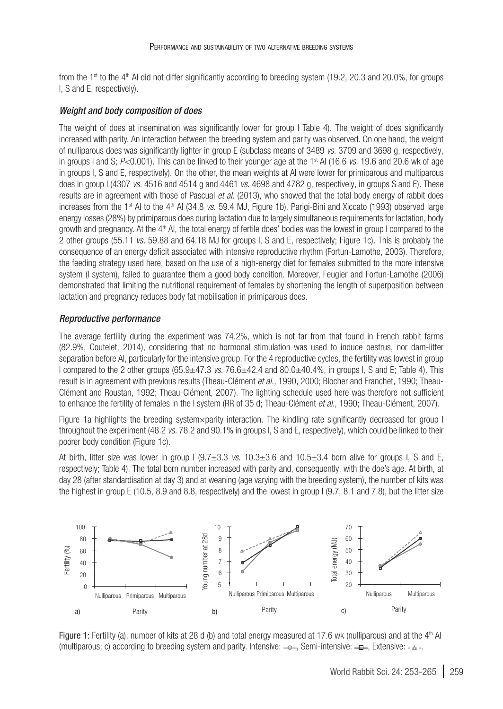from the  $1<sup>st</sup>$  to the 4<sup>th</sup> AI did not differ significantly according to breeding system (19.2, 20.3 and 20.0%, for groups I, S and E, respectively).

#### *Weight and body composition of does*

The weight of does at insemination was significantly lower for group I [Table 4](#page-7-0)). The weight of does significantly increased with parity. An interaction between the breeding system and parity was observed. On one hand, the weight of nulliparous does was significantly lighter in group E (subclass means of 3489 *vs.* 3709 and 3698 g, respectively, in groups I and S; *P*<0.001). This can be linked to their younger age at the 1<sup>st</sup> AI (16.6 *vs.* 19.6 and 20.6 wk of age in groups I, S and E, respectively). On the other, the mean weights at AI were lower for primiparous and multiparous does in group I (4307 *vs.* 4516 and 4514 g and 4461 *vs.* 4698 and 4782 g, respectively, in groups S and E). These results are in agreement with those of Pascual *et al.* (2013), who showed that the total body energy of rabbit does increases from the 1<sup>st</sup> AI to the 4<sup>th</sup> AI (34.8 *vs.* 59.4 MJ, [Figure 1](#page-6-0)b). Parigi-Bini and Xiccato (1993) observed large energy losses (28%) by primiparous does during lactation due to largely simultaneous requirements for lactation, body growth and pregnancy. At the 4th AI, the total energy of fertile does' bodies was the lowest in group I compared to the 2 other groups (55.11 *vs.* 59.88 and 64.18 MJ for groups I, S and E, respectively; [Figure 1](#page-6-0)c). This is probably the consequence of an energy deficit associated with intensive reproductive rhythm (Fortun-Lamothe, 2003). Therefore, the feeding strategy used here, based on the use of a high-energy diet for females submitted to the more intensive system (I system), failed to guarantee them a good body condition. Moreover, Feugier and Fortun-Lamothe (2006) demonstrated that limiting the nutritional requirement of females by shortening the length of superposition between lactation and pregnancy reduces body fat mobilisation in primiparous does.

#### *Reproductive performance*

The average fertility during the experiment was 74.2%, which is not far from that found in French rabbit farms (82.9%, Coutelet, 2014), considering that no hormonal stimulation was used to induce oestrus, nor dam-litter separation before AI, particularly for the intensive group. For the 4 reproductive cycles, the fertility was lowest in group I compared to the 2 other groups (65.9±47.3 *vs.* 76.6±42.4 and 80.0±40.4%, in groups I, S and E; [Table 4\)](#page-7-0). This result is in agreement with previous results (Theau-Clément *et al.,* 1990, 2000; Blocher and Franchet, 1990; Theau-Clément and Roustan, 1992; Theau-Clément, 2007). The lighting schedule used here was therefore not sufficient to enhance the fertility of females in the I system (RR of 35 d; Theau-Clément *et al.,* 1990; Theau-Clément, 2007).

[Figure 1a](#page-6-0) highlights the breeding system×parity interaction. The kindling rate significantly decreased for group I throughout the experiment (48.2 *vs.* 78.2 and 90.1% in groups I, S and E, respectively), which could be linked to their poorer body condition ([Figure 1c](#page-6-0)).

At birth, litter size was lower in group I (9.7±3.3 *vs.* 10.3±3.6 and 10.5±3.4 born alive for groups I, S and E, respectively; [Table 4\)](#page-7-0). The total born number increased with parity and, consequently, with the doe's age. At birth, at day 28 (after standardisation at day 3) and at weaning (age varying with the breeding system), the number of kits was the highest in group E (10.5, 8.9 and 8.8, respectively) and the lowest in group I (9.7, 8.1 and 7.8), but the litter size



<span id="page-6-0"></span>Figure 1: Fertility (a), number of kits at 28 d (b) and total energy measured at 17.6 wk (nulliparous) and at the  $4<sup>th</sup>$  AI (multiparous; c) according to breeding system and parity. Intensive:  $\rightarrow \rightarrow$ . Semi-intensive:  $-\rightarrow$ . Extensive:  $-\rightarrow$ .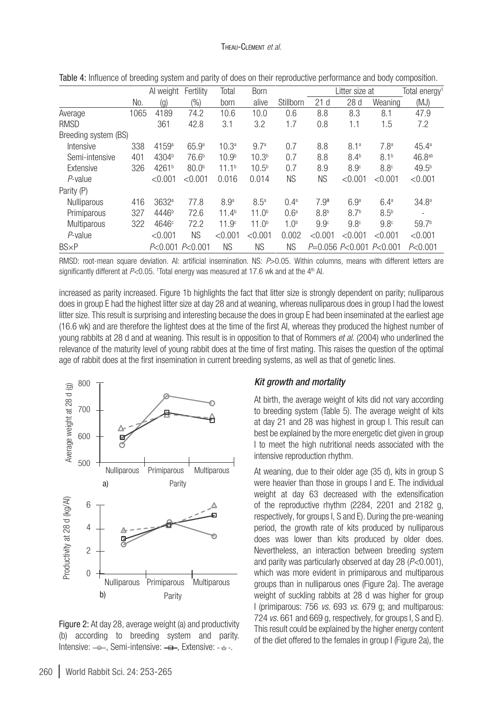|                      |      | Al weight          | Fertility         | Total             | <b>Born</b>       |                  |                  | Litter size at            |                  | Total energy <sup>1</sup> |
|----------------------|------|--------------------|-------------------|-------------------|-------------------|------------------|------------------|---------------------------|------------------|---------------------------|
|                      | No.  | $\left( 9 \right)$ | $(\%)$            | born              | alive             | Stillborn        | 21d              | 28d                       | Weaning          | (MJ)                      |
| Average              | 1065 | 4189               | 74.2              | 10.6              | 10.0              | 0.6              | 8.8              | 8.3                       | 8.1              | 47.9                      |
| <b>RMSD</b>          |      | 361                | 42.8              | 3.1               | 3.2               | 1.7              | 0.8              | 1.1                       | 1.5              | 7.2                       |
| Breeding system (BS) |      |                    |                   |                   |                   |                  |                  |                           |                  |                           |
| Intensive            | 338  | 4159a              | 65.9 <sup>a</sup> | 10.3 <sup>a</sup> | 9.7 <sup>a</sup>  | 0.7              | 8.8              | 8.1 <sup>a</sup>          | 7.8 <sup>a</sup> | 45.4 <sup>a</sup>         |
| Semi-intensive       | 401  | 4304 <sup>b</sup>  | 76.6 <sup>b</sup> | 10.9 <sup>b</sup> | 10.3 <sup>b</sup> | 0.7              | 8.8              | $8.4^{b}$                 | 8.1 <sup>b</sup> | 46.8 <sup>ab</sup>        |
| Extensive            | 326  | 4261 <sup>b</sup>  | 80.0 <sup>b</sup> | 11.1 <sup>b</sup> | $10.5^{b}$        | 0.7              | 8.9              | 8.9 <sup>c</sup>          | 8.8 <sup>c</sup> | $49.5^{b}$                |
| P-value              |      | < 0.001            | < 0.001           | 0.016             | 0.014             | <b>NS</b>        | <b>NS</b>        | < 0.001                   | < 0.001          | < 0.001                   |
| Parity (P)           |      |                    |                   |                   |                   |                  |                  |                           |                  |                           |
| <b>Nulliparous</b>   | 416  | 3632 <sup>a</sup>  | 77.8              | 8.9 <sup>a</sup>  | 8.5 <sup>a</sup>  | 0.4 <sup>a</sup> | 7.9 <sup>a</sup> | 6.9 <sup>a</sup>          | 6.4 <sup>a</sup> | 34.8 <sup>a</sup>         |
| Primiparous          | 327  | 4446 <sup>b</sup>  | 72.6              | 11.4 <sup>b</sup> | 11.0 <sup>b</sup> | 0.6 <sup>a</sup> | 8.8 <sup>b</sup> | 8.7 <sup>b</sup>          | $8.5^{b}$        |                           |
| <b>Multiparous</b>   | 322  | 4646c              | 72.2              | 11.9 <sup>c</sup> | 11.0 <sup>b</sup> | 1.0 <sup>b</sup> | 9.9 <sup>c</sup> | 9.8 <sup>c</sup>          | 9.8 <sup>c</sup> | 59.7 <sup>b</sup>         |
| P-value              |      | < 0.001            | <b>NS</b>         | < 0.001           | < 0.001           | 0.002            | < 0.001          | < 0.001                   | < 0.001          | < 0.001                   |
| $BS \times P$        |      | P<0.001 P<0.001    |                   | <b>NS</b>         | ΝS                | <b>NS</b>        |                  | $P=0.056 P<0.001 P<0.001$ |                  | P< 0.001                  |

<span id="page-7-0"></span>Table 4: Influence of breeding system and parity of does on their reproductive performance and body composition.

RMSD: root-mean square deviation. AI: artificial insemination. NS: *P*>0.05. Within columns, means with different letters are significantly different at P<0.05. <sup>1</sup>Total energy was measured at 17.6 wk and at the 4<sup>th</sup> AI.

increased as parity increased. [Figure 1](#page-6-0)b highlights the fact that litter size is strongly dependent on parity; nulliparous does in group E had the highest litter size at day 28 and at weaning, whereas nulliparous does in group I had the lowest litter size. This result is surprising and interesting because the does in group E had been inseminated at the earliest age (16.6 wk) and are therefore the lightest does at the time of the first AI, whereas they produced the highest number of young rabbits at 28 d and at weaning. This result is in opposition to that of Rommers *et al.* (2004) who underlined the relevance of the maturity level of young rabbit does at the time of first mating. This raises the question of the optimal age of rabbit does at the first insemination in current breeding systems, as well as that of genetic lines.



<span id="page-7-1"></span>Figure 2: At day 28, average weight (a) and productivity (b) according to breeding system and parity. Intensive:  $\leftarrow$ , Semi-intensive:  $\leftarrow$ , Extensive:  $\leftarrow$ .

### *Kit growth and mortality*

At birth, the average weight of kits did not vary according to breeding system ([Table 5](#page-8-0)). The average weight of kits at day 21 and 28 was highest in group I. This result can best be explained by the more energetic diet given in group I to meet the high nutritional needs associated with the intensive reproduction rhythm.

At weaning, due to their older age (35 d), kits in group S were heavier than those in groups I and E. The individual weight at day 63 decreased with the extensification of the reproductive rhythm (2284, 2201 and 2182 g, respectively, for groups I, S and E). During the pre-weaning period, the growth rate of kits produced by nulliparous does was lower than kits produced by older does. Nevertheless, an interaction between breeding system and parity was particularly observed at day 28 (*P<*0.001), which was more evident in primiparous and multiparous groups than in nulliparous ones [\(Figure 2](#page-7-1)a). The average weight of suckling rabbits at 28 d was higher for group I (primiparous: 756 *vs.* 693 *vs.* 679 g; and multiparous: 724 *vs.* 661 and 669 g, respectively, for groups I, S and E). This result could be explained by the higher energy content of the diet offered to the females in group I ([Figure 2](#page-7-1)a), the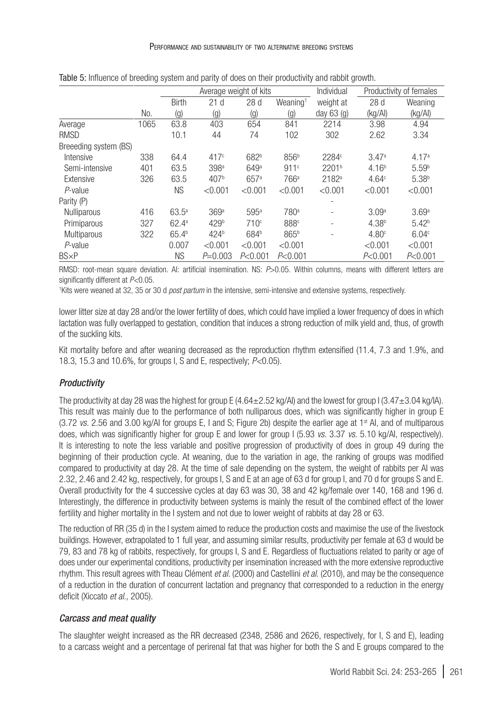|                       |      |                   | Average weight of kits |                   |                      | Individual        |                   | Productivity of females |  |
|-----------------------|------|-------------------|------------------------|-------------------|----------------------|-------------------|-------------------|-------------------------|--|
|                       |      | <b>Birth</b>      | 21d                    | 28d               | Weaning <sup>1</sup> | weight at         | 28d               | Weaning                 |  |
|                       | No.  | (g)               | (g)                    | $\left( 9\right)$ | (g)                  | day $63$ (g)      | (kg/Al)           | (kg/A)                  |  |
| Average               | 1065 | 63.8              | 403                    | 654               | 841                  | 2214              | 3.98              | 4.94                    |  |
| <b>RMSD</b>           |      | 10.1              | 44                     | 74                | 102                  | 302               | 2.62              | 3.34                    |  |
| Breeeding system (BS) |      |                   |                        |                   |                      |                   |                   |                         |  |
| Intensive             | 338  | 64.4              | 417 <sup>c</sup>       | 682 <sup>b</sup>  | 856 <sup>b</sup>     | 2284c             | 3.47a             | 4.17 <sup>a</sup>       |  |
| Semi-intensive        | 401  | 63.5              | 398 <sup>a</sup>       | 649a              | 911c                 | 2201 <sup>b</sup> | 4.16 <sup>b</sup> | 5.59 <sup>b</sup>       |  |
| Extensive             | 326  | 63.5              | 407 <sup>b</sup>       | 657 <sup>a</sup>  | 766 <sup>a</sup>     | 2182 <sup>a</sup> | 4.64c             | 5.38 <sup>b</sup>       |  |
| $P$ -value            |      | ΝS                | < 0.001                | < 0.001           | < 0.001              | < 0.001           | < 0.001           | < 0.001                 |  |
| Parity (P)            |      |                   |                        |                   |                      |                   |                   |                         |  |
| Nulliparous           | 416  | $63.5^{\circ}$    | 369 <sup>a</sup>       | 595 <sup>a</sup>  | 780 <sup>a</sup>     | ۰                 | 3.09a             | 3.69a                   |  |
| Primiparous           | 327  | 62.4a             | 429 <sup>b</sup>       | 710 <sup>c</sup>  | 888 <sup>c</sup>     | ۰                 | 4.38 <sup>b</sup> | 5.42 <sup>b</sup>       |  |
| Multiparous           | 322  | 65.4 <sup>b</sup> | 424 <sup>b</sup>       | 684 <sup>b</sup>  | 865 <sup>b</sup>     | ۰                 | 4.80 <sup>c</sup> | 6.04c                   |  |
| P-value               |      | 0.007             | < 0.001                | < 0.001           | < 0.001              |                   | < 0.001           | < 0.001                 |  |
| $BS \times P$         |      | <b>NS</b>         | $P=0.003$              | P< 0.001          | P < 0.001            |                   | P< 0.001          | P< 0.001                |  |

<span id="page-8-0"></span>Table 5: Influence of breeding system and parity of does on their productivity and rabbit growth.

RMSD: root-mean square deviation. AI: artificial insemination. NS: *P*>0.05. Within columns, means with different letters are significantly different at *P<*0.05.

1 Kits were weaned at 32, 35 or 30 d *post partum* in the intensive, semi-intensive and extensive systems, respectively.

lower litter size at day 28 and/or the lower fertility of does, which could have implied a lower frequency of does in which lactation was fully overlapped to gestation, condition that induces a strong reduction of milk yield and, thus, of growth of the suckling kits.

Kit mortality before and after weaning decreased as the reproduction rhythm extensified (11.4, 7.3 and 1.9%, and 18.3, 15.3 and 10.6%, for groups I, S and E, respectively; *P<*0.05).

### *Productivity*

The productivity at day 28 was the highest for group  $E(4.64\pm2.52 \text{ kg/A})$  and the lowest for group  $1(3.47\pm3.04 \text{ kg/A})$ . This result was mainly due to the performance of both nulliparous does, which was significantly higher in group E  $(3.72 \text{ vs. } 2.56 \text{ and } 3.00 \text{ kg/Al}$  for groups E, I and S; [Figure 2](#page-7-1)b) despite the earlier age at  $1<sup>st</sup>$  AI, and of multiparous does, which was significantly higher for group E and lower for group I (5.93 *vs.* 3.37 *vs.* 5.10 kg/AI, respectively). It is interesting to note the less variable and positive progression of productivity of does in group 49 during the beginning of their production cycle. At weaning, due to the variation in age, the ranking of groups was modified compared to productivity at day 28. At the time of sale depending on the system, the weight of rabbits per AI was 2.32, 2.46 and 2.42 kg, respectively, for groups I, S and E at an age of 63 d for group I, and 70 d for groups S and E. Overall productivity for the 4 successive cycles at day 63 was 30, 38 and 42 kg/female over 140, 168 and 196 d. Interestingly, the difference in productivity between systems is mainly the result of the combined effect of the lower fertility and higher mortality in the I system and not due to lower weight of rabbits at day 28 or 63.

The reduction of RR (35 d) in the I system aimed to reduce the production costs and maximise the use of the livestock buildings. However, extrapolated to 1 full year, and assuming similar results, productivity per female at 63 d would be 79, 83 and 78 kg of rabbits, respectively, for groups I, S and E. Regardless of fluctuations related to parity or age of does under our experimental conditions, productivity per insemination increased with the more extensive reproductive rhythm. This result agrees with Theau Clément *et al.* (2000) and Castellini *et al.* (2010), and may be the consequence of a reduction in the duration of concurrent lactation and pregnancy that corresponded to a reduction in the energy deficit (Xiccato *et al.,* 2005).

### *Carcass and meat quality*

The slaughter weight increased as the RR decreased (2348, 2586 and 2626, respectively, for I, S and E), leading to a carcass weight and a percentage of perirenal fat that was higher for both the S and E groups compared to the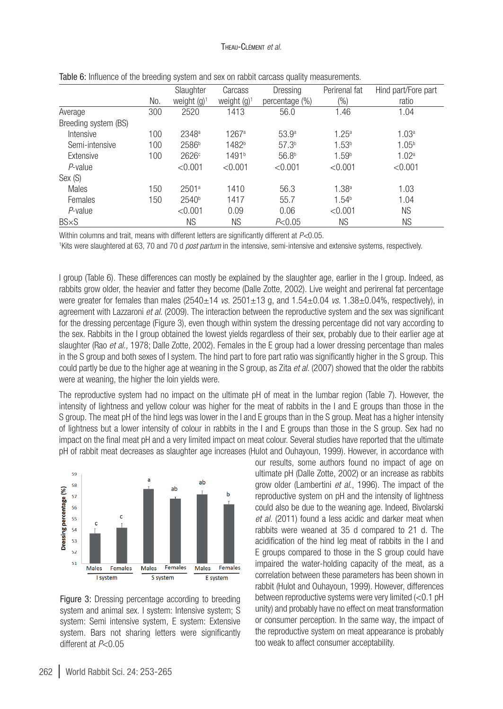#### Theau-Clément *et al.*

|                      |     | Slaughter         | Carcass           | Dressing          | Perirenal fat     | Hind part/Fore part |
|----------------------|-----|-------------------|-------------------|-------------------|-------------------|---------------------|
|                      |     |                   |                   |                   |                   |                     |
|                      | No. | weight $(q)^1$    | weight $(q)^1$    | percentage (%)    | $(\%)$            | ratio               |
| Average              | 300 | 2520              | 1413              | 56.0              | 1.46              | 1.04                |
| Breeding system (BS) |     |                   |                   |                   |                   |                     |
| Intensive            | 100 | 2348 <sup>a</sup> | 1267a             | 53.9 <sup>a</sup> | 1.25 <sup>a</sup> | 1.03 <sup>a</sup>   |
| Semi-intensive       | 100 | 2586 <sup>b</sup> | 1482 <sup>b</sup> | 57.3 <sup>b</sup> | 1.53 <sup>b</sup> | 1.05 <sup>b</sup>   |
| Extensive            | 100 | 2626c             | 1491 <sup>b</sup> | 56.8 <sup>b</sup> | 1.59 <sup>b</sup> | 1.02 <sup>a</sup>   |
| P-value              |     | < 0.001           | < 0.001           | < 0.001           | < 0.001           | < 0.001             |
| Sex (S)              |     |                   |                   |                   |                   |                     |
| Males                | 150 | 2501 <sup>a</sup> | 1410              | 56.3              | 1.38 <sup>a</sup> | 1.03                |
| Females              | 150 | 2540 <sup>b</sup> | 1417              | 55.7              | 1.54 <sup>b</sup> | 1.04                |
| P-value              |     | < 0.001           | 0.09              | 0.06              | < 0.001           | <b>NS</b>           |
| $BS \times S$        |     | <b>NS</b>         | ΝS                | P<0.05            | ΝS                | <b>NS</b>           |

<span id="page-9-0"></span>

|  | Table 6: Influence of the breeding system and sex on rabbit carcass quality measurements. |
|--|-------------------------------------------------------------------------------------------|
|--|-------------------------------------------------------------------------------------------|

Within columns and trait, means with different letters are significantly different at *P<*0.05. 1

<sup>1</sup>Kits were slaughtered at 63, 70 and 70 d *post partum* in the intensive, semi-intensive and extensive systems, respectively.

I group [\(Table 6\)](#page-9-0). These differences can mostly be explained by the slaughter age, earlier in the I group. Indeed, as rabbits grow older, the heavier and fatter they become (Dalle Zotte, 2002). Live weight and perirenal fat percentage were greater for females than males (2540±14 *vs.* 2501±13 g, and 1.54±0.04 *vs.* 1.38±0.04%, respectively), in agreement with Lazzaroni *et al.* (2009). The interaction between the reproductive system and the sex was significant for the dressing percentage [\(Figure 3](#page-9-1)), even though within system the dressing percentage did not vary according to the sex. Rabbits in the I group obtained the lowest yields regardless of their sex, probably due to their earlier age at slaughter (Rao *et al.,* 1978; Dalle Zotte, 2002). Females in the E group had a lower dressing percentage than males in the S group and both sexes of I system. The hind part to fore part ratio was significantly higher in the S group. This could partly be due to the higher age at weaning in the S group, as Zita *et al.* (2007) showed that the older the rabbits were at weaning, the higher the loin yields were.

The reproductive system had no impact on the ultimate pH of meat in the lumbar region [\(Table 7](#page-10-0)). However, the intensity of lightness and yellow colour was higher for the meat of rabbits in the I and E groups than those in the S group. The meat pH of the hind legs was lower in the I and E groups than in the S group. Meat has a higher intensity of lightness but a lower intensity of colour in rabbits in the I and E groups than those in the S group. Sex had no impact on the final meat pH and a very limited impact on meat colour. Several studies have reported that the ultimate pH of rabbit meat decreases as slaughter age increases (Hulot and Ouhayoun, 1999). However, in accordance with



<span id="page-9-1"></span>Figure 3: Dressing percentage according to breeding system and animal sex. I system: Intensive system; S system: Semi intensive system, E system: Extensive system. Bars not sharing letters were significantly different at *P*<0.05

our results, some authors found no impact of age on ultimate pH (Dalle Zotte, 2002) or an increase as rabbits grow older (Lambertini *et al.*, 1996). The impact of the reproductive system on pH and the intensity of lightness could also be due to the weaning age. Indeed, Bivolarski *et al.* (2011) found a less acidic and darker meat when rabbits were weaned at 35 d compared to 21 d. The acidification of the hind leg meat of rabbits in the I and E groups compared to those in the S group could have impaired the water-holding capacity of the meat, as a correlation between these parameters has been shown in rabbit (Hulot and Ouhayoun, 1999). However, differences between reproductive systems were very limited (<0.1 pH unity) and probably have no effect on meat transformation or consumer perception. In the same way, the impact of the reproductive system on meat appearance is probably too weak to affect consumer acceptability.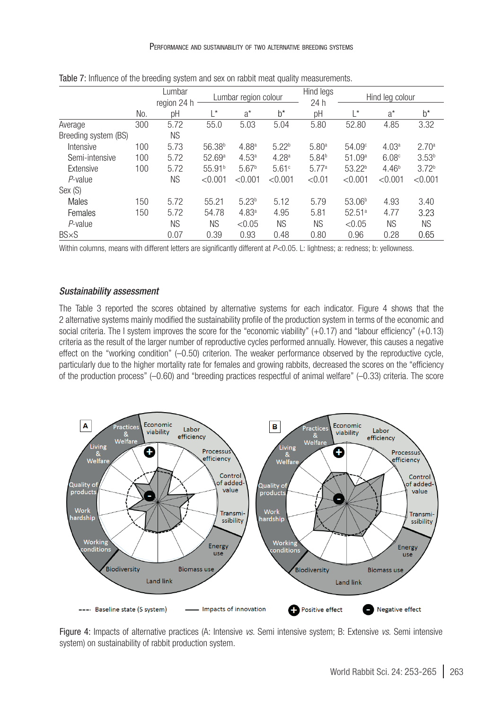|                      |     | Lumbar<br>region 24 h |                    | Lumbar region colour |                   | Hind legs<br>24 h |                    | Hind leg colour   |                   |
|----------------------|-----|-----------------------|--------------------|----------------------|-------------------|-------------------|--------------------|-------------------|-------------------|
|                      | No. | рH                    | $L^*$              | $a^*$                | $h^*$             | рH                | I*                 | $a^*$             | $h^*$             |
| Average              | 300 | 5.72                  | 55.0               | 5.03                 | 5.04              | 5.80              | 52.80              | 4.85              | 3.32              |
| Breeding system (BS) |     | <b>NS</b>             |                    |                      |                   |                   |                    |                   |                   |
| Intensive            | 100 | 5.73                  | 56.38 <sup>b</sup> | 4.88 <sup>a</sup>    | $5.22^{b}$        | 5.80 <sup>a</sup> | 54.09 <sup>c</sup> | 4.03 <sup>a</sup> | 2.70 <sup>a</sup> |
| Semi-intensive       | 100 | 5.72                  | 52.69 <sup>a</sup> | 4.53 <sup>a</sup>    | 4.28 <sup>a</sup> | 5.84 <sup>b</sup> | 51.09a             | 6.08 <sup>c</sup> | 3.53 <sup>b</sup> |
| Extensive            | 100 | 5.72                  | 55.91 <sup>b</sup> | 5.67 <sup>b</sup>    | 5.61c             | 5.77a             | 53.22 <sup>b</sup> | 4.46 <sup>b</sup> | 3.72 <sup>b</sup> |
| $P$ -value           |     | ΝS                    | < 0.001            | < 0.001              | < 0.001           | < 0.01            | < 0.001            | < 0.001           | < 0.001           |
| Sex (S)              |     |                       |                    |                      |                   |                   |                    |                   |                   |
| Males                | 150 | 5.72                  | 55.21              | $5.23^{b}$           | 5.12              | 5.79              | 53.06 <sup>b</sup> | 4.93              | 3.40              |
| Females              | 150 | 5.72                  | 54.78              | 4.83 <sup>a</sup>    | 4.95              | 5.81              | 52.51 <sup>a</sup> | 4.77              | 3.23              |
| P-value              |     | ΝS                    | <b>NS</b>          | < 0.05               | <b>NS</b>         | <b>NS</b>         | < 0.05             | <b>NS</b>         | <b>NS</b>         |
| $BS \times S$        |     | 0.07                  | 0.39               | 0.93                 | 0.48              | 0.80              | 0.96               | 0.28              | 0.65              |

<span id="page-10-0"></span>Table 7: Influence of the breeding system and sex on rabbit meat quality measurements.

Within columns, means with different letters are significantly different at *P*<0.05. L: lightness; a: redness; b: yellowness.

#### *Sustainability assessment*

The [Table 3](#page-4-0) reported the scores obtained by alternative systems for each indicator. [Figure 4](#page-10-1) shows that the 2 alternative systems mainly modified the sustainability profile of the production system in terms of the economic and social criteria. The I system improves the score for the "economic viability" (+0.17) and "labour efficiency" (+0.13) criteria as the result of the larger number of reproductive cycles performed annually. However, this causes a negative effect on the "working condition" (–0.50) criterion. The weaker performance observed by the reproductive cycle, particularly due to the higher mortality rate for females and growing rabbits, decreased the scores on the "efficiency of the production process" (–0.60) and "breeding practices respectful of animal welfare" (–0.33) criteria. The score



<span id="page-10-1"></span>Figure 4: Impacts of alternative practices (A: Intensive *vs.* Semi intensive system; B: Extensive *vs.* Semi intensive system) on sustainability of rabbit production system.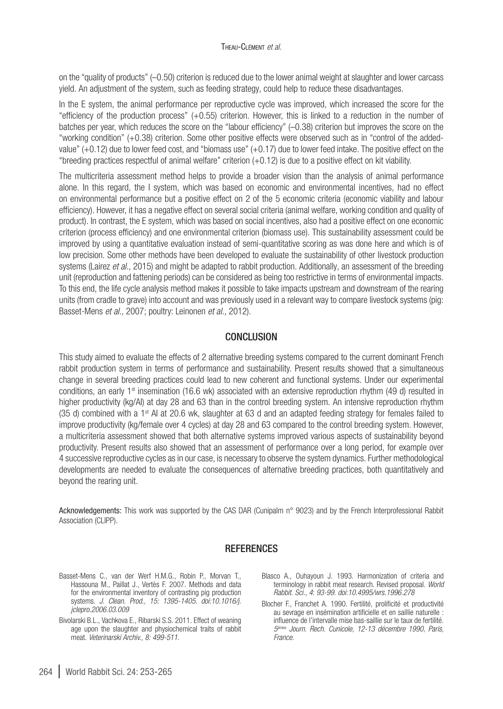on the "quality of products" (–0.50) criterion is reduced due to the lower animal weight at slaughter and lower carcass yield. An adjustment of the system, such as feeding strategy, could help to reduce these disadvantages.

In the E system, the animal performance per reproductive cycle was improved, which increased the score for the "efficiency of the production process" (+0.55) criterion. However, this is linked to a reduction in the number of batches per year, which reduces the score on the "labour efficiency" (–0.38) criterion but improves the score on the "working condition" (+0.38) criterion. Some other positive effects were observed such as in "control of the addedvalue" (+0.12) due to lower feed cost, and "biomass use" (+0.17) due to lower feed intake. The positive effect on the "breeding practices respectful of animal welfare" criterion (+0.12) is due to a positive effect on kit viability.

The multicriteria assessment method helps to provide a broader vision than the analysis of animal performance alone. In this regard, the I system, which was based on economic and environmental incentives, had no effect on environmental performance but a positive effect on 2 of the 5 economic criteria (economic viability and labour efficiency). However, it has a negative effect on several social criteria (animal welfare, working condition and quality of product). In contrast, the E system, which was based on social incentives, also had a positive effect on one economic criterion (process efficiency) and one environmental criterion (biomass use). This sustainability assessment could be improved by using a quantitative evaluation instead of semi-quantitative scoring as was done here and which is of low precision. Some other methods have been developed to evaluate the sustainability of other livestock production systems (Lairez *et al.,* 2015) and might be adapted to rabbit production. Additionally, an assessment of the breeding unit (reproduction and fattening periods) can be considered as being too restrictive in terms of environmental impacts. To this end, the life cycle analysis method makes it possible to take impacts upstream and downstream of the rearing units (from cradle to grave) into account and was previously used in a relevant way to compare livestock systems (pig: Basset-Mens *et al.,* 2007; poultry: Leinonen *et al.,* 2012).

### **CONCLUSION**

This study aimed to evaluate the effects of 2 alternative breeding systems compared to the current dominant French rabbit production system in terms of performance and sustainability. Present results showed that a simultaneous change in several breeding practices could lead to new coherent and functional systems. Under our experimental conditions, an early  $1<sup>st</sup>$  insemination (16.6 wk) associated with an extensive reproduction rhythm (49 d) resulted in higher productivity (kg/AI) at day 28 and 63 than in the control breeding system. An intensive reproduction rhythm (35 d) combined with a 1<sup>st</sup> AI at 20.6 wk, slaughter at 63 d and an adapted feeding strategy for females failed to improve productivity (kg/female over 4 cycles) at day 28 and 63 compared to the control breeding system. However, a multicriteria assessment showed that both alternative systems improved various aspects of sustainability beyond productivity. Present results also showed that an assessment of performance over a long period, for example over 4 successive reproductive cycles as in our case, is necessary to observe the system dynamics. Further methodological developments are needed to evaluate the consequences of alternative breeding practices, both quantitatively and beyond the rearing unit.

Acknowledgements: This work was supported by the CAS DAR (Cunipalm n° 9023) and by the French Interprofessional Rabbit Association (CLIPP).

## **REFERENCES**

- Basset-Mens C., van der Werf H.M.G., Robin P., Morvan T., Hassouna M., Paillat J., Vertès F. 2007. Methods and data for the environmental inventory of contrasting pig production systems. *J. Clean. Prod., 15: 1395-1405*. *[doi:10.1016/j.](http://dx.doi.org/10.1016/j.jclepro.2006.03.009) [jclepro.2006.03.009](http://dx.doi.org/10.1016/j.jclepro.2006.03.009)*
- Bivolarski B.L., Vachkova E., Ribarski S.S. 2011. Effect of weaning age upon the slaughter and physiochemical traits of rabbit meat. *Veterinarski Archiv., 8: 499-511*.
- Blasco A., Ouhayoun J. 1993. Harmonization of criteria and terminology in rabbit meat research. Revised proposal. *World Rabbit. Sci., 4*: *93-99*. *[doi:10.4995/wrs.1996.278](http://dx.doi.org/10.4995/wrs.1996.278)*
- Blocher F., Franchet A. 1990. Fertilité, prolificité et productivité au sevrage en insémination artificielle et en saillie naturelle : influence de l'intervalle mise bas-saillie sur le taux de fertilité. *5èmes Journ. Rech. Cunicole, 12-13 décembre 1990, Paris, France*.